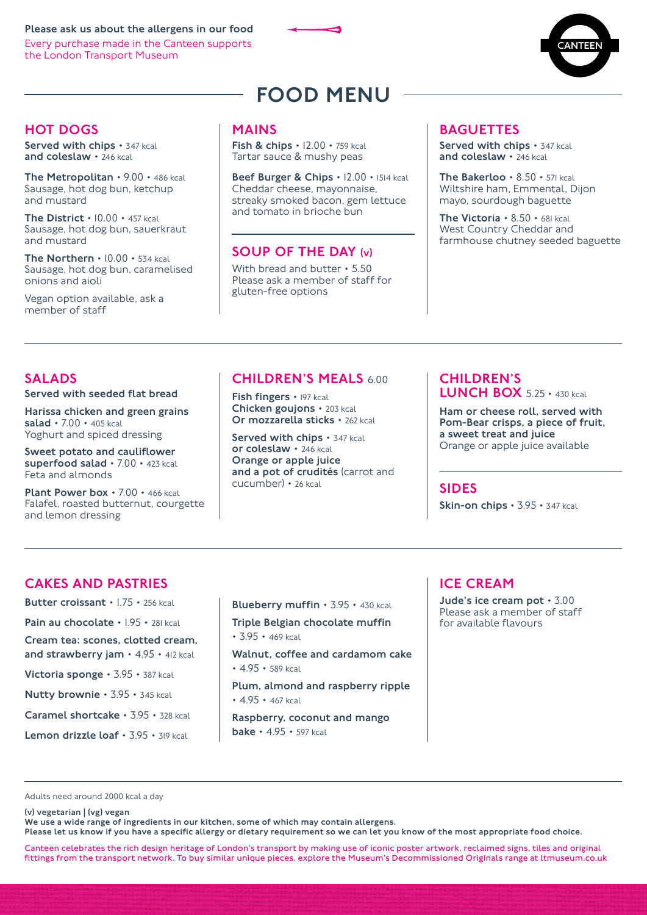Please ask us about the allergens in our food Every purchase made in the Canteen supports the London Transport Museum





# HOT DOGS

Served with chips  $\cdot$  347 kcal and coleslaw  $\cdot$  246 kcal

The Metropolitan  $\cdot$  9.00  $\cdot$  486 kcal Sausage, hot dog bun, ketchup and mustard

The District  $\cdot$  10.00  $\cdot$  457 kcal Sausage, hot dog bun, sauerkraut and mustard

The Northern  $\cdot$  10.00  $\cdot$  534 kcal. Sausage, hot dog bun, caramelised onions and aioli

Vegan option available, ask a member of staff

# FOOD MENU

### MAINS

Fish & chips  $\cdot$  12.00  $\cdot$  759 kcal Tartar sauce & mushy peas

Beef Burger & Chips · 12.00 · 1514 kcal Cheddar cheese, mayonnaise, streaky smoked bacon, gem lettuce and tomato in brioche bun

# SOUP OF THE DAY (v)

With bread and butter • 5.50 Please ask a member of staff for gluten-free options

# **BAGUETTES**

Served with chips  $\cdot$  347 kcal and coleslaw  $\cdot$  246 kcal

The Bakerloo  $\cdot$  8.50  $\cdot$  571 kcal Wiltshire ham, Emmental, Dijon mayo, sourdough baguette

The Victoria  $\cdot$  8.50  $\cdot$  681 kcal West Country Cheddar and farmhouse chutney seeded baguette

# SALADS

Served with seeded flat bread

Harissa chicken and green grains salad  $\cdot$  7.00  $\cdot$  405 kcal Yoghurt and spiced dressing

Sweet potato and cauliflower superfood salad · 7.00 · 423 kcal Feta and almonds

Plant Power box  $\cdot$  7.00  $\cdot$  466 kcal Falafel, roasted butternut, courgette and lemon dressing

# CHILDREN'S MEALS 6.00

Fish fingers • 197 kcal Chicken goujons • 203 kcal Or mozzarella sticks · 262 kcal

Served with chips  $\cdot$  347 kcal or coleslaw • 246 kcal Orange or apple juice and a pot of crudités (carrot and cucumber) • 26 kcal

### CHILDREN'S **LUNCH BOX**  $5.25 \cdot 430$  kcal

Ham or cheese roll, served with Pom-Bear crisps, a piece of fruit, a sweet treat and juice Orange or apple juice available

### SIDES

Skin-on chips · 3.95 · 347 kcal

# CAKES AND PASTRIES

Butter croissant • 1.75 • 256 kcal

Pain au chocolate • 1.95 • 281 kcal

Cream tea: scones, clotted cream, and strawberry jam  $\cdot$  4.95  $\cdot$  412 kcal

Victoria sponge · 3.95 · 387 kcal

Nutty brownie • 3.95 • 345 kcal

Caramel shortcake • 3.95 • 328 kcal

Lemon drizzle loaf  $\cdot$  3.95  $\cdot$  319 kcal

Blueberry muffin · 3.95 · 430 kcal

Triple Belgian chocolate muffin

 $• 3.95 • 469$  kcal

Walnut, coffee and cardamom cake  $* 4.95 * 589$  kcal

Plum, almond and raspberry ripple  $* 4.95 * 467$  kcal

Raspberry, coconut and mango **bake**  $\cdot$  4.95  $\cdot$  597 kcal

# ICE CREAM

Jude's ice cream pot  $\cdot$  3.00 Please ask a member of staff for available flavours

Adults need around 2000 kcal a day

#### (v) vegetarian | (vg) vegan

We use a wide range of ingredients in our kitchen, some of which may contain allergens.

Please let us know if you have a specific allergy or dietary requirement so we can let you know of the most appropriate food choice.

Canteen celebrates the rich design heritage of London's transport by making use of iconic poster artwork, reclaimed signs, tiles and original fittings from the transport network. To buy similar unique pieces, explore the Museum's Decommissioned Originals range at ltmuseum.co.uk